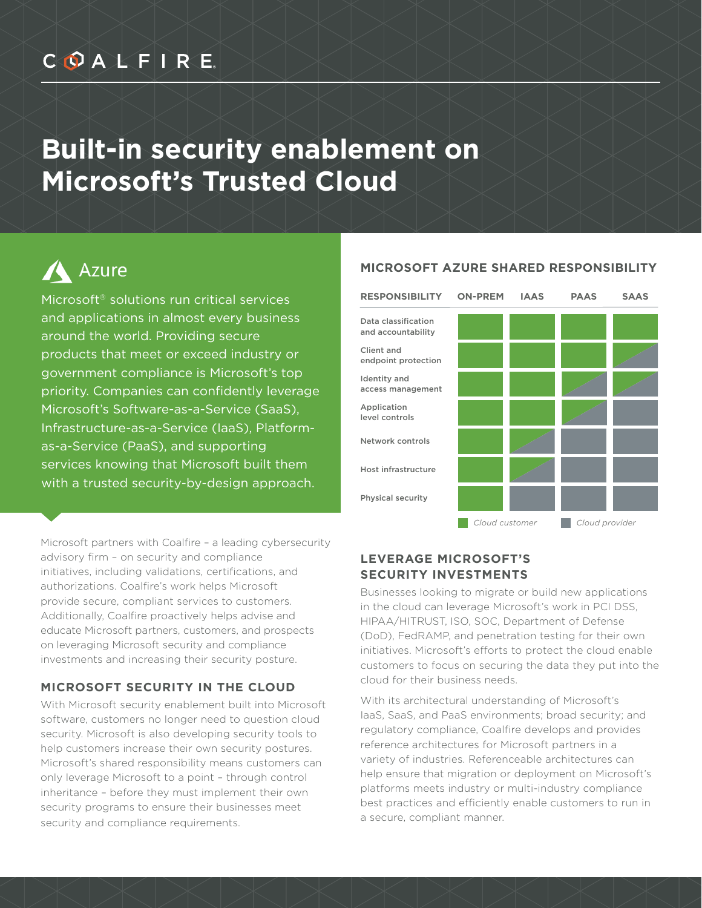## COALFIRE

## **Built-in security enablement on Microsoft's Trusted Cloud**

# A Azure

Microsoft® solutions run critical services and applications in almost every business around the world. Providing secure products that meet or exceed industry or government compliance is Microsoft's top priority. Companies can confidently leverage Microsoft's Software-as-a-Service (SaaS), Infrastructure-as-a-Service (IaaS), Platformas-a-Service (PaaS), and supporting services knowing that Microsoft built them with a trusted security-by-design approach.

Microsoft partners with Coalfire – a leading cybersecurity advisory firm – on security and compliance initiatives, including validations, certifications, and authorizations. Coalfire's work helps Microsoft provide secure, compliant services to customers. Additionally, Coalfire proactively helps advise and educate Microsoft partners, customers, and prospects on leveraging Microsoft security and compliance investments and increasing their security posture.

### **MICROSOFT SECURITY IN THE CLOUD**

With Microsoft security enablement built into Microsoft software, customers no longer need to question cloud security. Microsoft is also developing security tools to help customers increase their own security postures. Microsoft's shared responsibility means customers can only leverage Microsoft to a point – through control inheritance – before they must implement their own security programs to ensure their businesses meet security and compliance requirements.

#### **MICROSOFT AZURE SHARED RESPONSIBILITY**



### **LEVERAGE MICROSOFT'S SECURITY INVESTMENTS**

Businesses looking to migrate or build new applications in the cloud can leverage Microsoft's work in PCI DSS, HIPAA/HITRUST, ISO, SOC, Department of Defense (DoD), FedRAMP, and penetration testing for their own initiatives. Microsoft's efforts to protect the cloud enable customers to focus on securing the data they put into the cloud for their business needs.

With its architectural understanding of Microsoft's IaaS, SaaS, and PaaS environments; broad security; and regulatory compliance, Coalfire develops and provides reference architectures for Microsoft partners in a variety of industries. Referenceable architectures can help ensure that migration or deployment on Microsoft's platforms meets industry or multi-industry compliance best practices and efficiently enable customers to run in a secure, compliant manner.